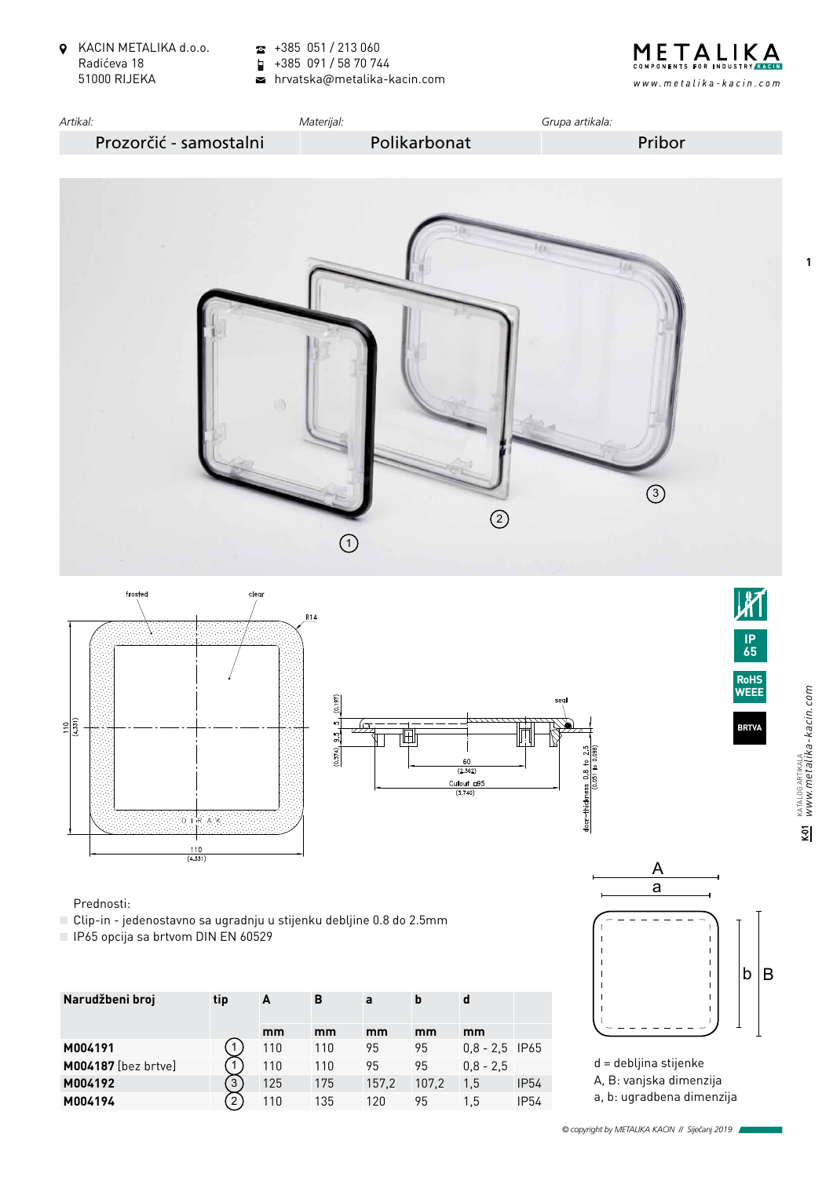KACIN METALIKA d.o.o. Radićeva 18 51000 RIJEKA

 $\frac{1}{2}$  +385 051 / 213 060

 $\blacksquare$ +385 091 / 58 70 744

hrvatska@metalika-kacin.com











 $\overline{S}$ 

Prednosti:

- Clip-in jedenostavno sa ugradnju u stijenku debljine 0.8 do 2.5mm
- IP65 opcija sa brtvom DIN EN 60529

| Narudžbeni broj            | tip | A   | B   | a     | b     | d                |             |
|----------------------------|-----|-----|-----|-------|-------|------------------|-------------|
|                            |     | mm  | mm  | mm    | mm    | mm               |             |
| M004191                    |     | 110 | 110 | 95    | 95    | $0.8 - 2.5$ IP65 |             |
| <b>M004187</b> [bez brtve] |     | 110 | 110 | 95    | 95    | $0.8 - 2.5$      |             |
| M004192                    | 3   | 125 | 175 | 157,2 | 107.2 | 1.5              | <b>IP54</b> |
| M004194                    | 2   | 110 | 135 | 120   | 95    | 1.5              | <b>IP54</b> |



d = debljina stijenke A, B: vanjska dimenzija a, b: ugradbena dimenzija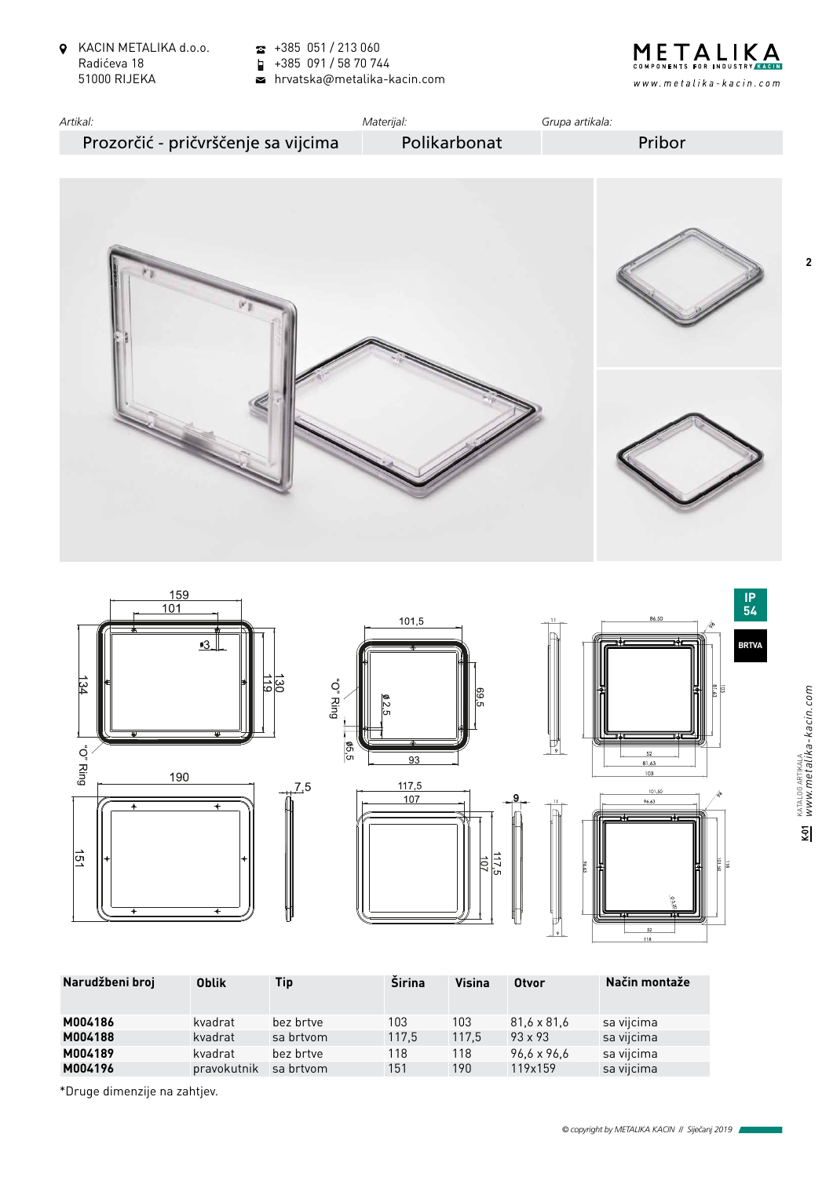- KACIN METALIKA d.o.o. Radićeva 18 51000 RIJEKA
- $\bullet$  +385 051 / 213 060
- +385 091 / 58 70 744

hrvatska@metalika-kacin.com













| Narudžbeni broj | <b>Oblik</b> | Tip       | <b>Širina</b> | <b>Visina</b> | <b>Otvor</b>   | Način montaže |
|-----------------|--------------|-----------|---------------|---------------|----------------|---------------|
| M004186         | kvadrat      | bez brtve | 103           | 103           | 81.6 x 81.6    | sa vijcima    |
| M004188         | kvadrat      | sa brtvom | 117,5         | 117.5         | $93 \times 93$ | sa vijcima    |
| M004189         | kvadrat      | bez brtve | 118           | 118           | 96.6 x 96.6    | sa vijcima    |
| M004196         | pravokutnik  | sa brtvom | 151           | 190           | 119x159        | sa vijcima    |
|                 |              |           |               |               |                |               |

\*Druge dimenzije na zahtjev.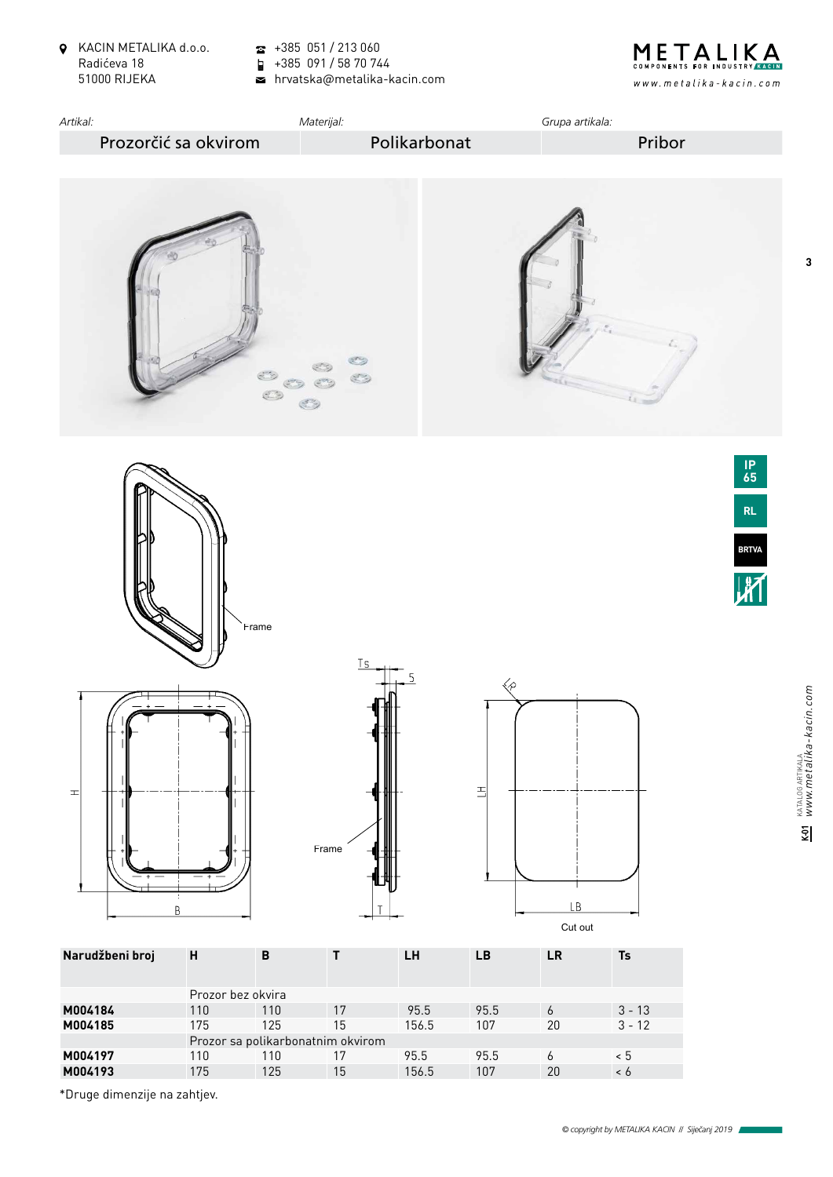KACIN METALIKA d.o.o. Radićeva 18 51000 RIJEKA

 $\frac{1}{2}$  +385 051 / 213 060

+385 091 / 58 70 744

hrvatska@metalika-kacin.com







Prozor sa polikarbonatnim okvirom

**M004197** 110 110 17 95.5 95.5 6 < 5 **M004193** 175 125 15 156.5 107 20 < 6  $M$ 

**BRTVA**

**3**

\*Druge dimenzije na zahtjev.

 $3 - 13$ <br> $3 - 12$ i<br>IS

 $100.3$  107  $20$   $3 - 12$ 175 125 15 156,5 107 20 3 - 12 1250-U6

95.5 95.5<br>156.5 107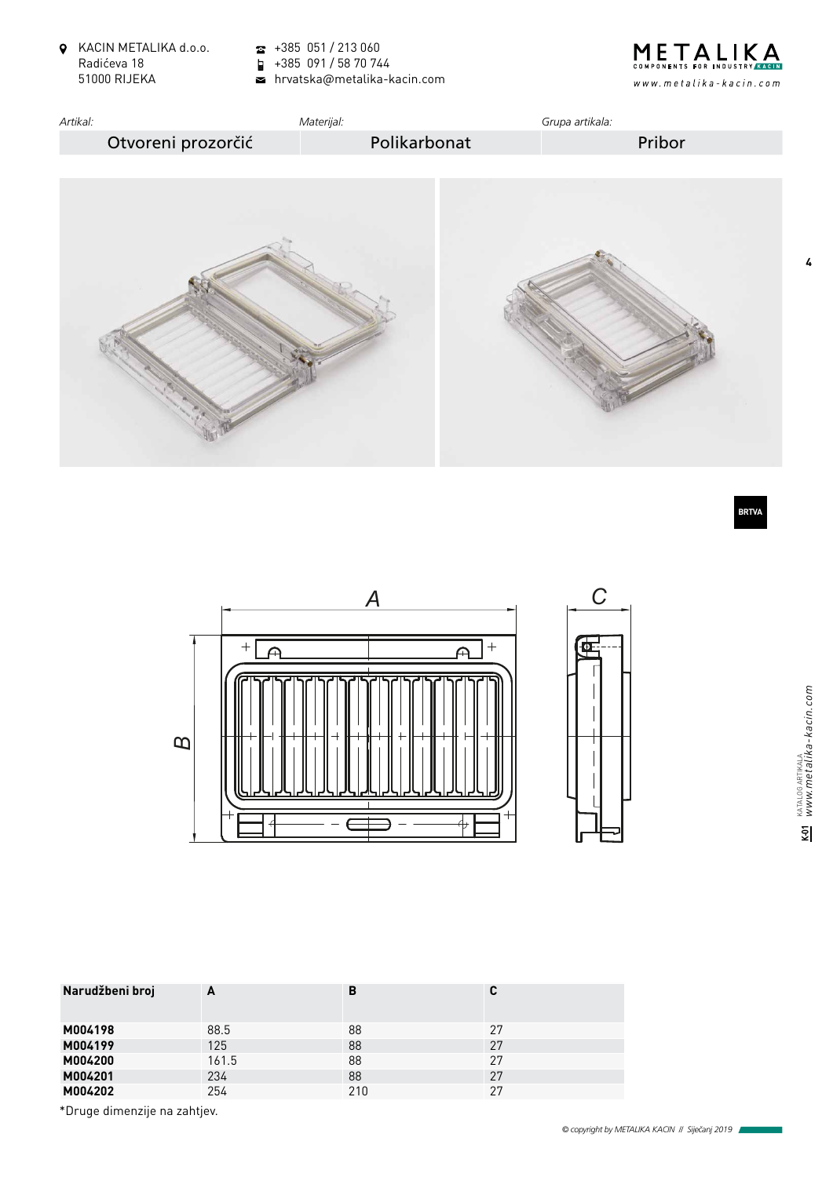- KACIN METALIKA d.o.o. Radićeva 18 51000 RIJEKA
- $\bullet$  +385 051 / 213 060

+385 091 / 58 70 744

hrvatska@metalika-kacin.com







**K-01** KATALOG ARTIKALA *www.metalika-kacin.com*

줿

KATALOG ARTIKALA<br>WWW.metalika-kacin.com

**4**





| Narudžbeni broj             | A     | B   | C  |  |  |
|-----------------------------|-------|-----|----|--|--|
| M004198                     | 88.5  | 88  | 27 |  |  |
| M004199                     | 125   | 88  | 27 |  |  |
| M004200                     | 161.5 | 88  | 27 |  |  |
| M004201                     | 234   | 88  | 27 |  |  |
| M004202                     | 254   | 210 | 27 |  |  |
| $*nmax dimansii0 no subti0$ |       |     |    |  |  |

\*Druge dimenzije na zahtjev.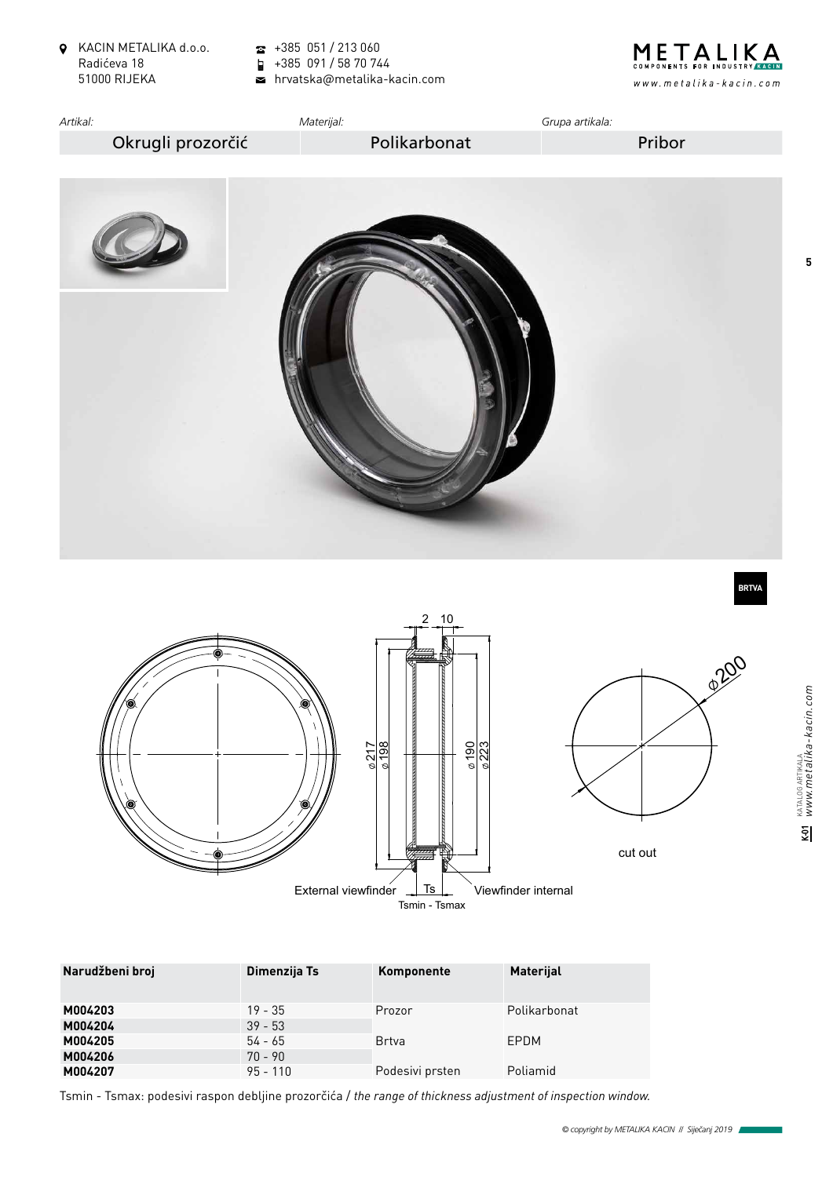- KACIN METALIKA d.o.o. Radićeva 18 51000 RIJEKA
- $\frac{1}{2}$  +385 051 / 213 060

+385 091 / 58 70 744

hrvatska@metalika-kacin.com





95 - 110 **4.425.005** Tsmin - Tsmax: podesivi raspon debljine prozorčića / *the range of thickness adjustment of inspection window.*